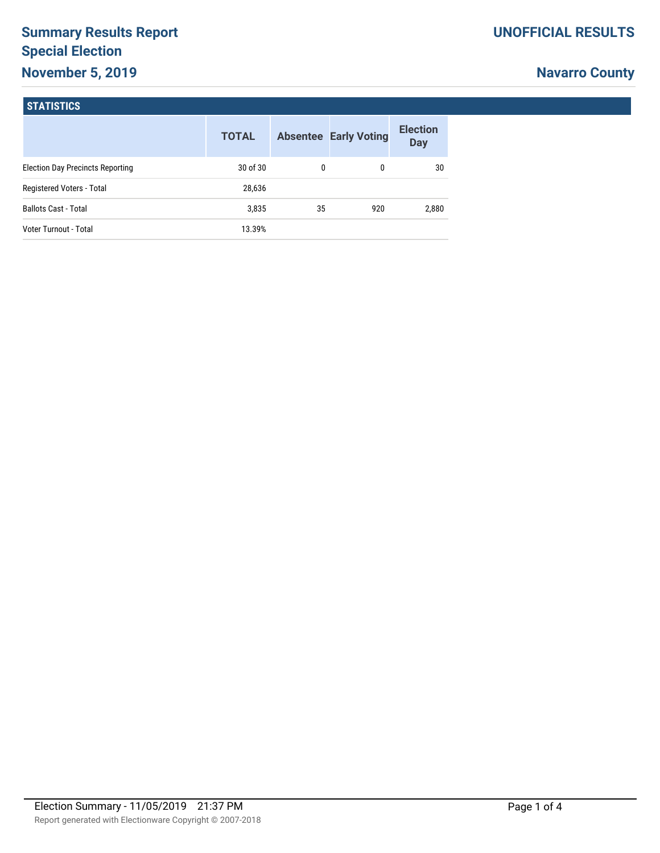# **Summary Results Report Special Election November 5, 2019**

# **Navarro County**

## **STATISTICS**

|                                         | <b>TOTAL</b> |    | <b>Absentee Early Voting</b> | <b>Election</b><br><b>Day</b> |
|-----------------------------------------|--------------|----|------------------------------|-------------------------------|
| <b>Election Day Precincts Reporting</b> | 30 of 30     | 0  | 0                            | 30                            |
| Registered Voters - Total               | 28,636       |    |                              |                               |
| <b>Ballots Cast - Total</b>             | 3,835        | 35 | 920                          | 2,880                         |
| Voter Turnout - Total                   | 13.39%       |    |                              |                               |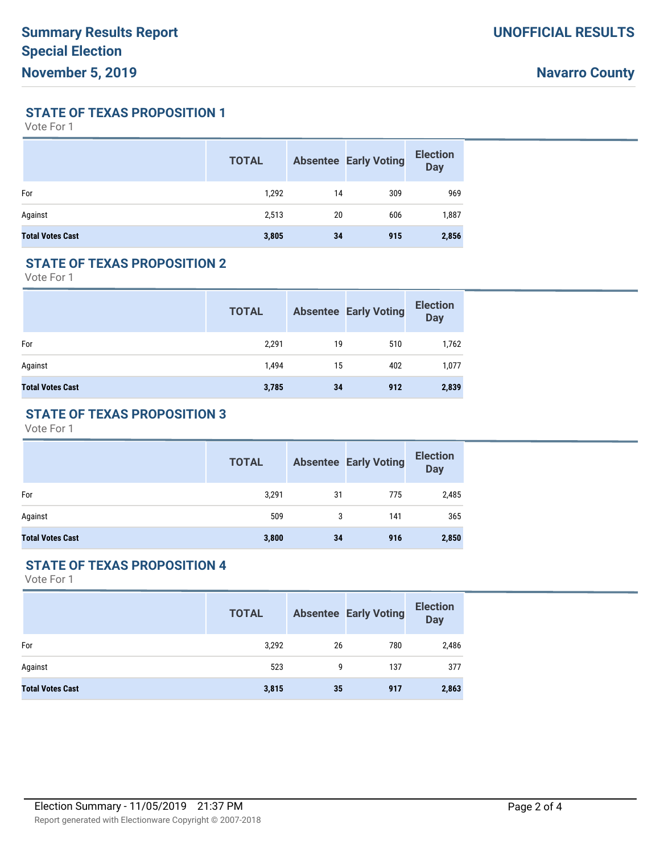**STATE OF TEXAS PROPOSITION 1**

Vote For 1

|                         | <b>TOTAL</b> |    | <b>Absentee Early Voting</b> | <b>Election</b><br><b>Day</b> |
|-------------------------|--------------|----|------------------------------|-------------------------------|
| For                     | 1,292        | 14 | 309                          | 969                           |
| Against                 | 2,513        | 20 | 606                          | 1,887                         |
| <b>Total Votes Cast</b> | 3,805        | 34 | 915                          | 2,856                         |

#### **STATE OF TEXAS PROPOSITION 2**

Vote For 1

|                         | <b>TOTAL</b> |    | <b>Absentee Early Voting</b> | <b>Election</b><br><b>Day</b> |
|-------------------------|--------------|----|------------------------------|-------------------------------|
| For                     | 2,291        | 19 | 510                          | 1,762                         |
| Against                 | 1,494        | 15 | 402                          | 1,077                         |
| <b>Total Votes Cast</b> | 3,785        | 34 | 912                          | 2,839                         |

## **STATE OF TEXAS PROPOSITION 3**

Vote For 1

|                         | <b>TOTAL</b> |    | <b>Absentee Early Voting</b> | <b>Election</b><br><b>Day</b> |
|-------------------------|--------------|----|------------------------------|-------------------------------|
| For                     | 3,291        | 31 | 775                          | 2,485                         |
| Against                 | 509          | 3  | 141                          | 365                           |
| <b>Total Votes Cast</b> | 3,800        | 34 | 916                          | 2,850                         |

### **STATE OF TEXAS PROPOSITION 4**

Vote For 1

|                         | <b>TOTAL</b> |    | <b>Absentee Early Voting</b> | <b>Election</b><br><b>Day</b> |
|-------------------------|--------------|----|------------------------------|-------------------------------|
| For                     | 3,292        | 26 | 780                          | 2,486                         |
| Against                 | 523          | 9  | 137                          | 377                           |
| <b>Total Votes Cast</b> | 3,815        | 35 | 917                          | 2,863                         |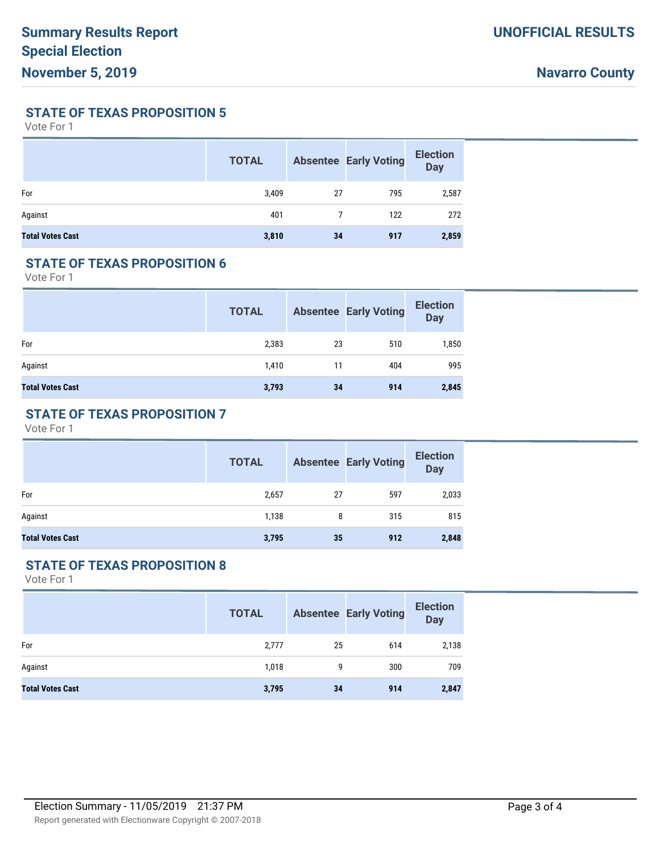**STATE OF TEXAS PROPOSITION 5**

Vote For 1

|                         | <b>TOTAL</b> |    | <b>Absentee Early Voting</b> | <b>Election</b><br><b>Day</b> |
|-------------------------|--------------|----|------------------------------|-------------------------------|
| For                     | 3,409        | 27 | 795                          | 2,587                         |
| Against                 | 401          | 7  | 122                          | 272                           |
| <b>Total Votes Cast</b> | 3,810        | 34 | 917                          | 2,859                         |

#### **STATE OF TEXAS PROPOSITION 6**

Vote For 1

|                         | <b>TOTAL</b> |    | <b>Absentee Early Voting</b> | <b>Election</b><br><b>Day</b> |
|-------------------------|--------------|----|------------------------------|-------------------------------|
| For                     | 2,383        | 23 | 510                          | 1,850                         |
| Against                 | 1,410        | 11 | 404                          | 995                           |
| <b>Total Votes Cast</b> | 3,793        | 34 | 914                          | 2,845                         |

## **STATE OF TEXAS PROPOSITION 7**

Vote For 1

|                         | <b>TOTAL</b> |    | <b>Absentee Early Voting</b> | <b>Election</b><br><b>Day</b> |
|-------------------------|--------------|----|------------------------------|-------------------------------|
| For                     | 2,657        | 27 | 597                          | 2,033                         |
| Against                 | 1,138        | 8  | 315                          | 815                           |
| <b>Total Votes Cast</b> | 3,795        | 35 | 912                          | 2,848                         |

### **STATE OF TEXAS PROPOSITION 8**

Vote For 1

|                         | <b>TOTAL</b> |    | <b>Absentee Early Voting</b> | <b>Election</b><br><b>Day</b> |
|-------------------------|--------------|----|------------------------------|-------------------------------|
| For                     | 2,777        | 25 | 614                          | 2,138                         |
| Against                 | 1,018        | 9  | 300                          | 709                           |
| <b>Total Votes Cast</b> | 3,795        | 34 | 914                          | 2,847                         |